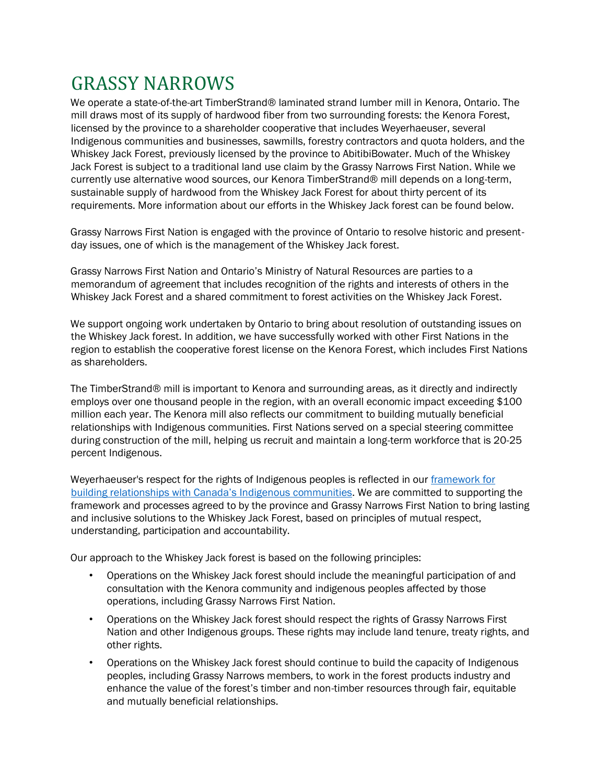## GRASSY NARROWS

We operate a state-of-the-art TimberStrand® laminated strand lumber mill in Kenora, Ontario. The mill draws most of its supply of hardwood fiber from two surrounding forests: the Kenora Forest, licensed by the province to a shareholder cooperative that includes Weyerhaeuser, several Indigenous communities and businesses, sawmills, forestry contractors and quota holders, and the Whiskey Jack Forest, previously licensed by the province to AbitibiBowater. Much of the Whiskey Jack Forest is subject to a traditional land use claim by the Grassy Narrows First Nation. While we currently use alternative wood sources, our Kenora TimberStrand® mill depends on a long-term, sustainable supply of hardwood from the Whiskey Jack Forest for about thirty percent of its requirements. More information about our efforts in the Whiskey Jack forest can be found below.

Grassy Narrows First Nation is engaged with the province of Ontario to resolve historic and presentday issues, one of which is the management of the Whiskey Jack forest.

Grassy Narrows First Nation and Ontario's Ministry of Natural Resources are parties to a memorandum of agreement that includes recognition of the rights and interests of others in the Whiskey Jack Forest and a shared commitment to forest activities on the Whiskey Jack Forest.

We support ongoing work undertaken by Ontario to bring about resolution of outstanding issues on the Whiskey Jack forest. In addition, we have successfully worked with other First Nations in the region to establish the cooperative forest license on the Kenora Forest, which includes First Nations as shareholders.

The TimberStrand® mill is important to Kenora and surrounding areas, as it directly and indirectly employs over one thousand people in the region, with an overall economic impact exceeding \$100 million each year. The Kenora mill also reflects our commitment to building mutually beneficial relationships with Indigenous communities. First Nations served on a special steering committee during construction of the mill, helping us recruit and maintain a long-term workforce that is 20-25 percent Indigenous.

Weyerhaeuser's respect for the rights of Indigenous peoples is reflected in our [framework for](https://www.weyerhaeuser.com/timberlands/forestry/canada/#indigenous-communities)  [building relationships with Canada's](https://www.weyerhaeuser.com/timberlands/forestry/canada/#indigenous-communities) Indigenous communities. We are committed to supporting the framework and processes agreed to by the province and Grassy Narrows First Nation to bring lasting and inclusive solutions to the Whiskey Jack Forest, based on principles of mutual respect, understanding, participation and accountability.

Our approach to the Whiskey Jack forest is based on the following principles:

- Operations on the Whiskey Jack forest should include the meaningful participation of and consultation with the Kenora community and indigenous peoples affected by those operations, including Grassy Narrows First Nation.
- Operations on the Whiskey Jack forest should respect the rights of Grassy Narrows First Nation and other Indigenous groups. These rights may include land tenure, treaty rights, and other rights.
- Operations on the Whiskey Jack forest should continue to build the capacity of Indigenous peoples, including Grassy Narrows members, to work in the forest products industry and enhance the value of the forest's timber and non-timber resources through fair, equitable and mutually beneficial relationships.